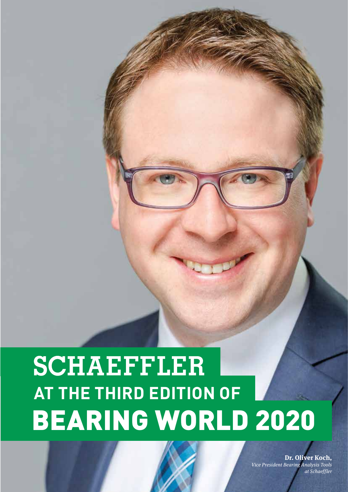# **SCHAEFFLER AT THE THIRD EDITION OF**BEARING WORLD 2020

**Dr. Oliver Koch,** Vice President Bearing Analysis Tools at Schaeffler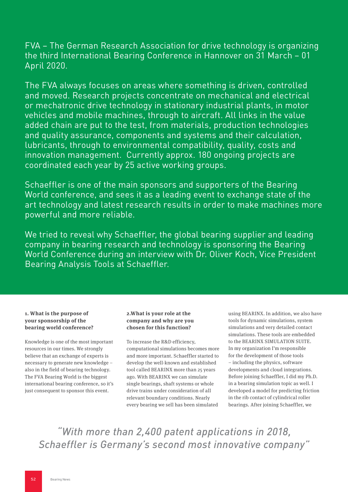FVA – The German Research Association for drive technology is organizing the third International Bearing Conference in Hannover on 31 March – 01 April 2020.

The FVA always focuses on areas where something is driven, controlled and moved. Research projects concentrate on mechanical and electrical or mechatronic drive technology in stationary industrial plants, in motor vehicles and mobile machines, through to aircraft. All links in the value added chain are put to the test, from materials, production technologies and quality assurance, components and systems and their calculation, lubricants, through to environmental compatibility, quality, costs and innovation management. Currently approx. 180 ongoing projects are coordinated each year by 25 active working groups.

Schaeffler is one of the main sponsors and supporters of the Bearing World conference, and sees it as a leading event to exchange state of the art technology and latest research results in order to make machines more powerful and more reliable.

We tried to reveal why Schaeffler, the global bearing supplier and leading company in bearing research and technology is sponsoring the Bearing World Conference during an interview with Dr. Oliver Koch, Vice President Bearing Analysis Tools at Schaeffler.

# **1. What is the purpose of your sponsorship of the bearing world conference?**

Knowledge is one of the most important resources in our times. We strongly believe that an exchange of experts is necessary to generate new knowledge – also in the field of bearing technology. The FVA Bearing World is the biggest international bearing conference, so it's just consequent to sponsor this event.

### **2.What is your role at the company and why are you chosen for this function?**

To increase the R&D efficiency, computational simulations becomes more and more important. Schaeffler started to develop the well-known and established tool called BEARINX more than 25 years ago. With BEARINX we can simulate single bearings, shaft systems or whole drive trains under consideration of all relevant boundary conditions. Nearly every bearing we sell has been simulated

using BEARINX. In addition, we also have tools for dynamic simulations, system simulations and very detailed contact simulations. These tools are embedded to the BEARINX SIMULATION SUITE. In my organization I'm responsible for the development of those tools – including the physics, software developments and cloud integrations. Before joining Schaeffler, I did my Ph.D. in a bearing simulation topic as well. I developed a model for predicting friction in the rib contact of cylindrical roller bearings. After joining Schaeffler, we

*"With more than 2,400 patent applications in 2018, Schaeffler is Germany's second most innovative company"*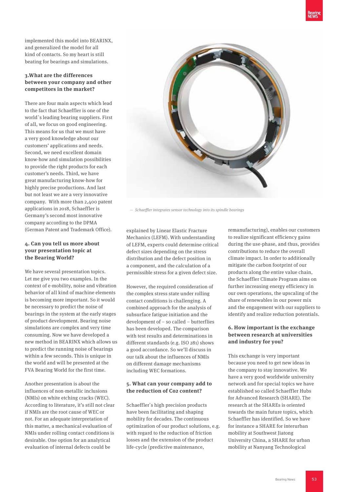implemented this model into BEARINX, and generalized the model for all kind of contacts. So my heart is still beating for bearings and simulations.

#### **3.What are the differences between your company and other competitors in the market?**

There are four main aspects which lead to the fact that Schaeffler is one of the world`s leading bearing suppliers. First of all, we focus on good engineering. This means for us that we must have a very good knowledge about our customers' applications and needs. Second, we need excellent domain know-how and simulation possibilities to provide the right products for each customer's needs. Third, we have great manufacturing know-how for highly precise productions. And last but not least we are a very innovative company. With more than 2,400 patent applications in 2018, Schaeffler is Germany's second most innovative company according to the DPMA (German Patent and Trademark Office).

## **4. Can you tell us more about your presentation topic at the Bearing World?**

We have several presentation topics. Let me give you two examples. In the context of e-mobility, noise and vibration behavior of all kind of machine elements is becoming more important. So it would be necessary to predict the noise of bearings in the system at the early stages of product development. Bearing noise simulations are complex and very time consuming. Now we have developed a new method in BEARINX which allows us to predict the running noise of bearings within a few seconds. This is unique in the world and will be presented at the FVA Bearing World for the first time.

Another presentation is about the influences of non-metallic inclusions (NMIs) on white etching cracks (WEC). According to literature, it's still not clear if NMIs are the root cause of WEC or not. For an adequate interpretation of this matter, a mechanical evaluation of NMIs under rolling contact conditions is desirable. One option for an analytical evaluation of internal defects could be

explained by Linear Elastic Fracture Mechanics (LEFM). With understanding of LEFM, experts could determine critical defect sizes depending on the stress distribution and the defect position in a component, and the calculation of a permissible stress for a given defect size.

However, the required consideration of the complex stress state under rolling contact conditions is challenging. A combined approach for the analysis of subsurface fatigue initiation and the development of – so called – butterflies has been developed. The comparison with test results and determinations in different standards (e.g. ISO 281) shows a good accordance. So we'll discuss in our talk about the influences of NMIs on different damage mechanisms including WEC formations.

## **5. What can your company add to the reduction of Co2 content?**

Schaeffler`s high precision products have been facilitating and shaping mobility for decades. The continuous optimization of our product solutions, e.g. with regard to the reduction of friction losses and the extension of the product life-cycle (predictive maintenance,

remanufacturing), enables our customers to realize significant efficiency gains during the use-phase, and thus, provides contributions to reduce the overall climate impact. In order to additionally mitigate the carbon footprint of our products along the entire value chain, the Schaeffler Climate Program aims on further increasing energy efficiency in our own operations, the upscaling of the share of renewables in our power mix and the engagement with our suppliers to identify and realize reduction potentials.

# **6. How important is the exchange between research at universities and industry for you?**

This exchange is very important because you need to get new ideas in the company to stay innovative. We have a very good worldwide university network and for special topics we have established so called Schaeffler Hubs for Advanced Research (SHARE). The research at the SHAREs is oriented towards the main future topics, which Schaeffler has identified. So we have for instance a SHARE for interurban mobility at Southwest Jiatong University China, a SHARE for urban mobility at Nanyang Technological

Bearing News 53



— Schaeffler integrates sensor technology into its spindle bearings